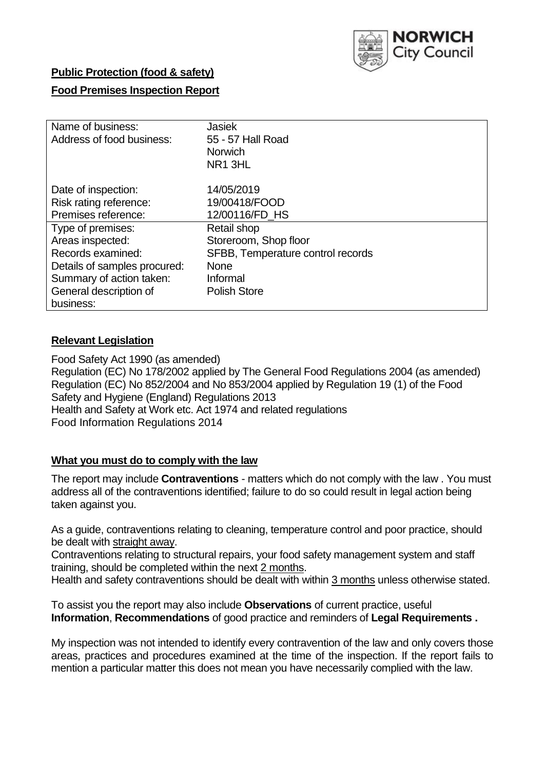

## **Public Protection (food & safety)**

## **Food Premises Inspection Report**

| Name of business:            | <b>Jasiek</b>                     |
|------------------------------|-----------------------------------|
| Address of food business:    | 55 - 57 Hall Road                 |
|                              | <b>Norwich</b>                    |
|                              | NR <sub>1</sub> 3HL               |
| Date of inspection:          | 14/05/2019                        |
| Risk rating reference:       | 19/00418/FOOD                     |
| Premises reference:          | 12/00116/FD HS                    |
| Type of premises:            | Retail shop                       |
| Areas inspected:             | Storeroom, Shop floor             |
| Records examined:            | SFBB, Temperature control records |
| Details of samples procured: | <b>None</b>                       |
| Summary of action taken:     | Informal                          |
| General description of       | <b>Polish Store</b>               |
| business:                    |                                   |

## **Relevant Legislation**

Food Safety Act 1990 (as amended) Regulation (EC) No 178/2002 applied by The General Food Regulations 2004 (as amended) Regulation (EC) No 852/2004 and No 853/2004 applied by Regulation 19 (1) of the Food Safety and Hygiene (England) Regulations 2013 Health and Safety at Work etc. Act 1974 and related regulations Food Information Regulations 2014

### **What you must do to comply with the law**

The report may include **Contraventions** - matters which do not comply with the law . You must address all of the contraventions identified; failure to do so could result in legal action being taken against you.

As a guide, contraventions relating to cleaning, temperature control and poor practice, should be dealt with straight away.

Contraventions relating to structural repairs, your food safety management system and staff training, should be completed within the next 2 months.

Health and safety contraventions should be dealt with within 3 months unless otherwise stated.

To assist you the report may also include **Observations** of current practice, useful **Information**, **Recommendations** of good practice and reminders of **Legal Requirements .**

My inspection was not intended to identify every contravention of the law and only covers those areas, practices and procedures examined at the time of the inspection. If the report fails to mention a particular matter this does not mean you have necessarily complied with the law.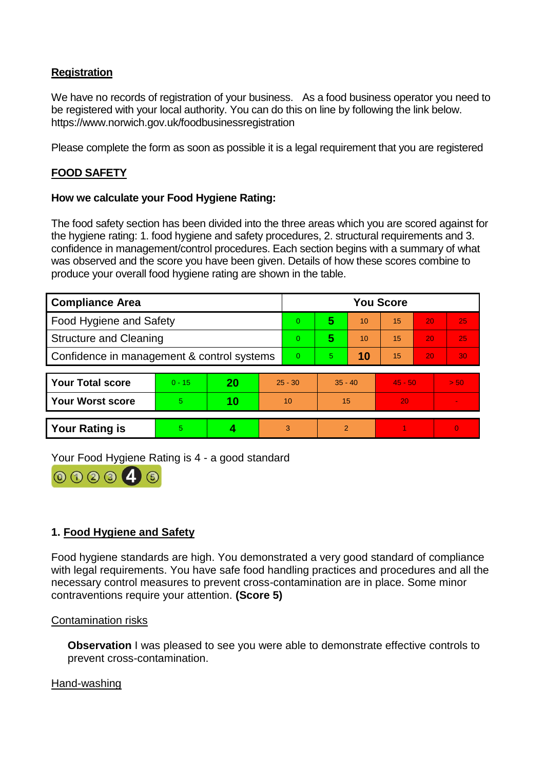# **Registration**

We have no records of registration of your business. As a food business operator you need to be registered with your local authority. You can do this on line by following the link below. https://www.norwich.gov.uk/foodbusinessregistration

Please complete the form as soon as possible it is a legal requirement that you are registered

## **FOOD SAFETY**

### **How we calculate your Food Hygiene Rating:**

The food safety section has been divided into the three areas which you are scored against for the hygiene rating: 1. food hygiene and safety procedures, 2. structural requirements and 3. confidence in management/control procedures. Each section begins with a summary of what was observed and the score you have been given. Details of how these scores combine to produce your overall food hygiene rating are shown in the table.

| <b>Compliance Area</b>                     |          |    | <b>You Score</b> |   |           |    |           |    |      |  |  |
|--------------------------------------------|----------|----|------------------|---|-----------|----|-----------|----|------|--|--|
| Food Hygiene and Safety                    |          |    | $\overline{0}$   | 5 | 10        | 15 | 20        | 25 |      |  |  |
| <b>Structure and Cleaning</b>              |          |    | $\Omega$         | 5 | 10        | 15 | 20        | 25 |      |  |  |
| Confidence in management & control systems |          |    | $\Omega$         | 5 | 10        | 15 | 20        | 30 |      |  |  |
|                                            |          |    |                  |   |           |    |           |    |      |  |  |
| <b>Your Total score</b>                    | $0 - 15$ | 20 | $25 - 30$        |   | $35 - 40$ |    | $45 - 50$ |    | > 50 |  |  |
| <b>Your Worst score</b>                    | 5.       | 10 | 10               |   | 15        |    | 20        |    |      |  |  |
|                                            |          |    |                  |   |           |    |           |    |      |  |  |

**Your Rating is 5 4 4 3 2 1 1 0** 

Your Food Hygiene Rating is 4 - a good standard



# **1. Food Hygiene and Safety**

Food hygiene standards are high. You demonstrated a very good standard of compliance with legal requirements. You have safe food handling practices and procedures and all the necessary control measures to prevent cross-contamination are in place. Some minor contraventions require your attention. **(Score 5)**

### Contamination risks

**Observation** I was pleased to see you were able to demonstrate effective controls to prevent cross-contamination.

#### Hand-washing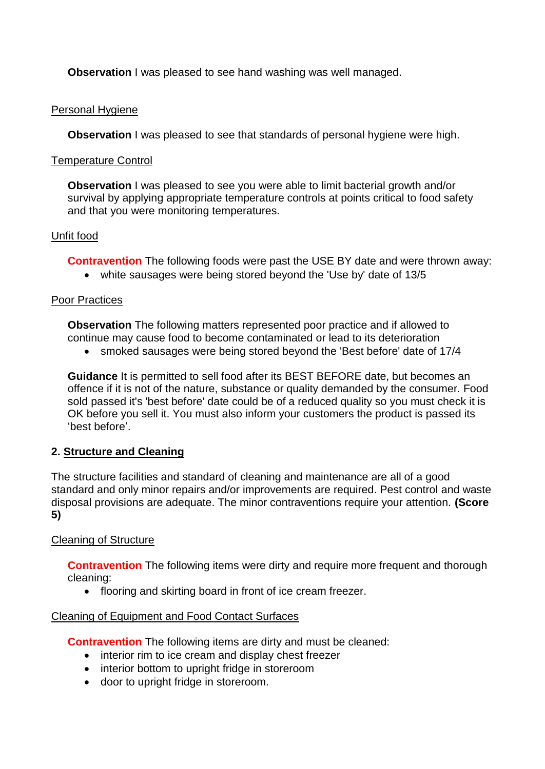**Observation** I was pleased to see hand washing was well managed.

### Personal Hygiene

**Observation** I was pleased to see that standards of personal hygiene were high.

### Temperature Control

**Observation** I was pleased to see you were able to limit bacterial growth and/or survival by applying appropriate temperature controls at points critical to food safety and that you were monitoring temperatures.

## Unfit food

**Contravention** The following foods were past the USE BY date and were thrown away:

white sausages were being stored beyond the 'Use by' date of 13/5

## Poor Practices

**Observation** The following matters represented poor practice and if allowed to continue may cause food to become contaminated or lead to its deterioration

smoked sausages were being stored beyond the 'Best before' date of 17/4

**Guidance** It is permitted to sell food after its BEST BEFORE date, but becomes an offence if it is not of the nature, substance or quality demanded by the consumer. Food sold passed it's 'best before' date could be of a reduced quality so you must check it is OK before you sell it. You must also inform your customers the product is passed its 'best before'.

# **2. Structure and Cleaning**

The structure facilities and standard of cleaning and maintenance are all of a good standard and only minor repairs and/or improvements are required. Pest control and waste disposal provisions are adequate. The minor contraventions require your attention. **(Score 5)**

# Cleaning of Structure

**Contravention** The following items were dirty and require more frequent and thorough cleaning:

• flooring and skirting board in front of ice cream freezer.

# Cleaning of Equipment and Food Contact Surfaces

**Contravention** The following items are dirty and must be cleaned:

- interior rim to ice cream and display chest freezer
- interior bottom to upright fridge in storeroom
- door to upright fridge in storeroom.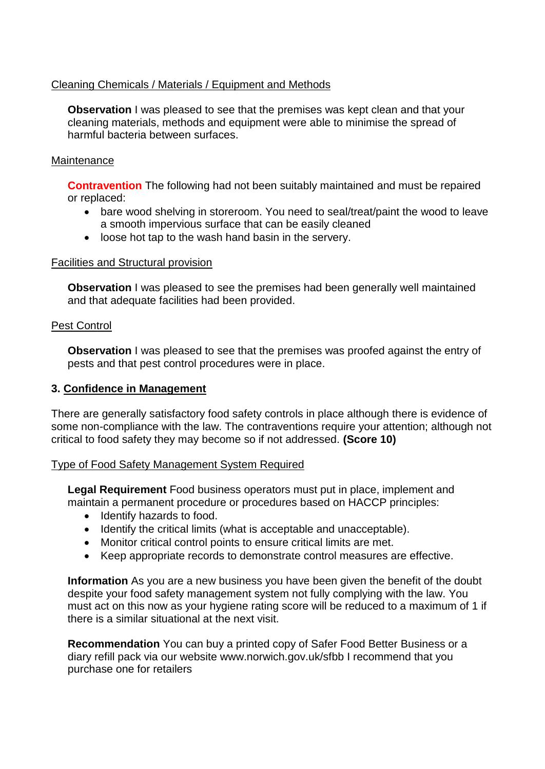## Cleaning Chemicals / Materials / Equipment and Methods

**Observation** I was pleased to see that the premises was kept clean and that your cleaning materials, methods and equipment were able to minimise the spread of harmful bacteria between surfaces.

#### **Maintenance**

**Contravention** The following had not been suitably maintained and must be repaired or replaced:

- bare wood shelving in storeroom. You need to seal/treat/paint the wood to leave a smooth impervious surface that can be easily cleaned
- loose hot tap to the wash hand basin in the servery.

#### Facilities and Structural provision

**Observation** I was pleased to see the premises had been generally well maintained and that adequate facilities had been provided.

#### Pest Control

**Observation** I was pleased to see that the premises was proofed against the entry of pests and that pest control procedures were in place.

### **3. Confidence in Management**

There are generally satisfactory food safety controls in place although there is evidence of some non-compliance with the law. The contraventions require your attention; although not critical to food safety they may become so if not addressed. **(Score 10)**

### Type of Food Safety Management System Required

**Legal Requirement** Food business operators must put in place, implement and maintain a permanent procedure or procedures based on HACCP principles:

- Identify hazards to food.
- Identify the critical limits (what is acceptable and unacceptable).
- Monitor critical control points to ensure critical limits are met.
- Keep appropriate records to demonstrate control measures are effective.

**Information** As you are a new business you have been given the benefit of the doubt despite your food safety management system not fully complying with the law. You must act on this now as your hygiene rating score will be reduced to a maximum of 1 if there is a similar situational at the next visit.

**Recommendation** You can buy a printed copy of Safer Food Better Business or a diary refill pack via our website www.norwich.gov.uk/sfbb I recommend that you purchase one for retailers